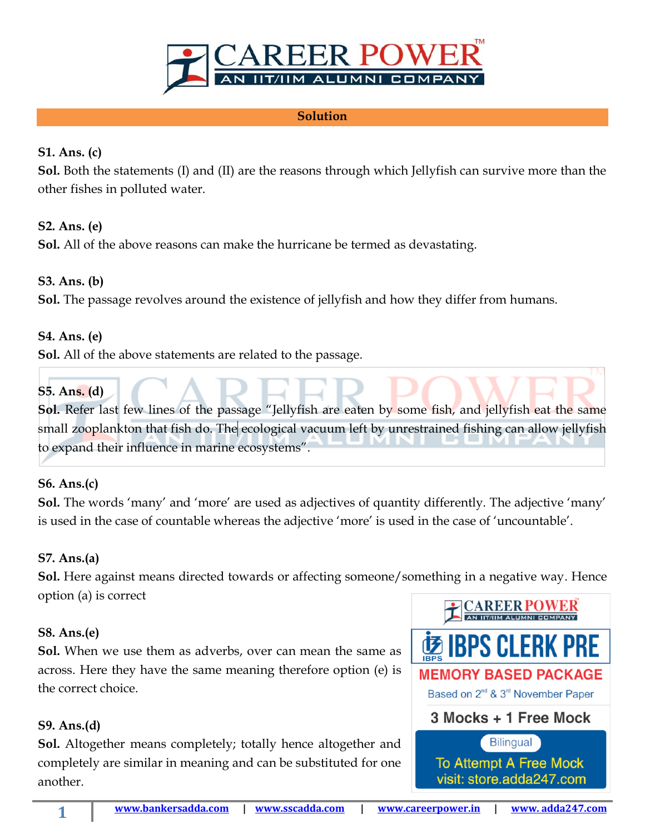

#### **Solution**

## **S1. Ans. (c)**

**Sol.** Both the statements (I) and (II) are the reasons through which Jellyfish can survive more than the other fishes in polluted water.

## **S2. Ans. (e)**

**Sol.** All of the above reasons can make the hurricane be termed as devastating.

#### **S3. Ans. (b)**

**Sol.** The passage revolves around the existence of jellyfish and how they differ from humans.

#### **S4. Ans. (e)**

**Sol.** All of the above statements are related to the passage.

## **S5. Ans. (d)**

**Sol.** Refer last few lines of the passage "Jellyfish are eaten by some fish, and jellyfish eat the same small zooplankton that fish do. The ecological vacuum left by unrestrained fishing can allow jellyfish to expand their influence in marine ecosystems".

## **S6. Ans.(c)**

**Sol.** The words 'many' and 'more' are used as adjectives of quantity differently. The adjective 'many' is used in the case of countable whereas the adjective 'more' is used in the case of 'uncountable'.

## **S7. Ans.(a)**

**Sol.** Here against means directed towards or affecting someone/something in a negative way. Hence option (a) is correct

#### **S8. Ans.(e)**

**Sol.** When we use them as adverbs, over can mean the same as across. Here they have the same meaning therefore option (e) is the correct choice.

## **S9. Ans.(d)**

**Sol.** Altogether means completely; totally hence altogether and completely are similar in meaning and can be substituted for one another.

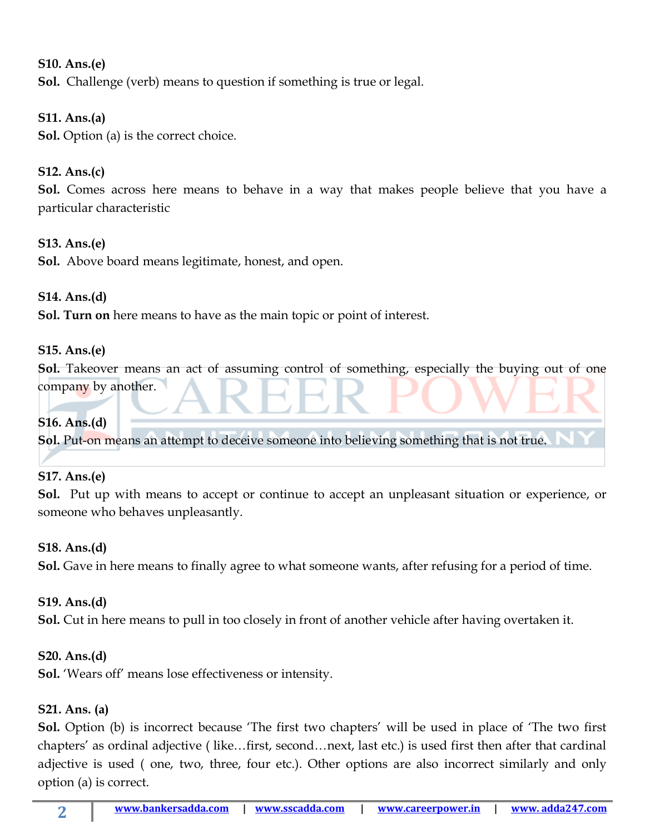# **S10. Ans.(e) Sol.** Challenge (verb) means to question if something is true or legal.

**S11. Ans.(a) Sol.** Option (a) is the correct choice.

## **S12. Ans.(c)**

**Sol.** Comes across here means to behave in a way that makes people believe that you have a particular characteristic

## **S13. Ans.(e)**

**Sol.** Above board means legitimate, honest, and open.

## **S14. Ans.(d)**

**Sol. Turn on** here means to have as the main topic or point of interest.

## **S15. Ans.(e)**

**Sol.** Takeover means an act of assuming control of something, especially the buying out of one company by another.

## **S16. Ans.(d)**

**Sol.** Put-on means an attempt to deceive someone into believing something that is not true.

## **S17. Ans.(e)**

**Sol.** Put up with means to accept or continue to accept an unpleasant situation or experience, or someone who behaves unpleasantly.

## **S18. Ans.(d)**

**Sol.** Gave in here means to finally agree to what someone wants, after refusing for a period of time.

## **S19. Ans.(d)**

**Sol.** Cut in here means to pull in too closely in front of another vehicle after having overtaken it.

## **S20. Ans.(d)**

**Sol.** 'Wears off' means lose effectiveness or intensity.

## **S21. Ans. (a)**

**2**

**Sol.** Option (b) is incorrect because 'The first two chapters' will be used in place of 'The two first chapters' as ordinal adjective ( like…first, second…next, last etc.) is used first then after that cardinal adjective is used ( one, two, three, four etc.). Other options are also incorrect similarly and only option (a) is correct.

**[www.bankersadda.com](http://www.bankersadda.com/) | [www.sscadda.com](http://www.sscadda.com/) | [www.careerpower.in](http://www.careerpower.in/) | [www. adda247.com](http://www.careeradda.co.in/)**